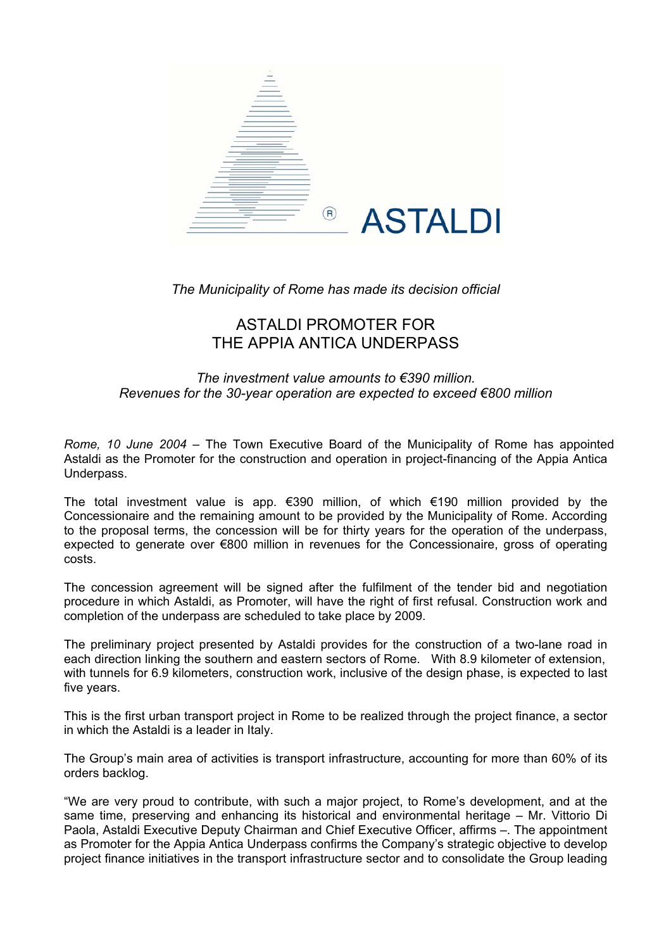

*The Municipality of Rome has made its decision official* 

# ASTALDI PROMOTER FOR THE APPIA ANTICA UNDERPASS

## *The investment value amounts to €390 million. Revenues for the 30-year operation are expected to exceed €800 million*

*Rome, 10 June 2004* – The Town Executive Board of the Municipality of Rome has appointed Astaldi as the Promoter for the construction and operation in project-financing of the Appia Antica Underpass.

The total investment value is app. €390 million, of which €190 million provided by the Concessionaire and the remaining amount to be provided by the Municipality of Rome. According to the proposal terms, the concession will be for thirty years for the operation of the underpass, expected to generate over €800 million in revenues for the Concessionaire, gross of operating costs.

The concession agreement will be signed after the fulfilment of the tender bid and negotiation procedure in which Astaldi, as Promoter, will have the right of first refusal. Construction work and completion of the underpass are scheduled to take place by 2009.

The preliminary project presented by Astaldi provides for the construction of a two-lane road in each direction linking the southern and eastern sectors of Rome. With 8.9 kilometer of extension, with tunnels for 6.9 kilometers, construction work, inclusive of the design phase, is expected to last five years.

This is the first urban transport project in Rome to be realized through the project finance, a sector in which the Astaldi is a leader in Italy.

The Group's main area of activities is transport infrastructure, accounting for more than 60% of its orders backlog.

"We are very proud to contribute, with such a major project, to Rome's development, and at the same time, preserving and enhancing its historical and environmental heritage – Mr. Vittorio Di Paola, Astaldi Executive Deputy Chairman and Chief Executive Officer, affirms –. The appointment as Promoter for the Appia Antica Underpass confirms the Company's strategic objective to develop project finance initiatives in the transport infrastructure sector and to consolidate the Group leading